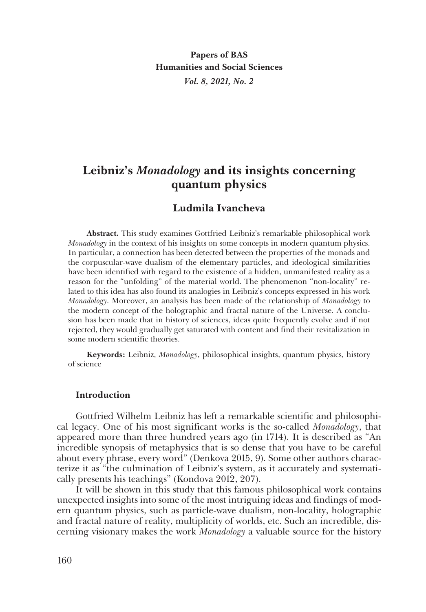# **Leibniz's** *Monadology* **and its insights concerning quantum physics**

## **Ludmila Ivancheva**

**Abstract.** This study examines Gottfried Leibniz's remarkable philosophical work *Monadology* in the context of his insights on some concepts in modern quantum physics. In particular, a connection has been detected between the properties of the monads and the corpuscular-wave dualism of the elementary particles, and ideological similarities have been identified with regard to the existence of a hidden, unmanifested reality as a reason for the "unfolding" of the material world. The phenomenon "non-locality" related to this idea has also found its analogies in Leibniz's concepts expressed in his work *Monadology*. Moreover, an analysis has been made of the relationship of *Monadology* to the modern concept of the holographic and fractal nature of the Universe. A conclusion has been made that in history of sciences, ideas quite frequently evolve and if not rejected, they would gradually get saturated with content and find their revitalization in some modern scientific theories.

**Keywords:** Leibniz, *Monadology*, philosophical insights, quantum physics, history of science

## **Introduction**

Gottfried Wilhelm Leibniz has left a remarkable scientific and philosophical legacy. One of his most significant works is the so-called *Monadology*, that appeared more than three hundred years ago (in 1714). It is described as "An incredible synopsis of metaphysics that is so dense that you have to be careful about every phrase, every word" (Denkova 2015, 9). Some other authors characterize it as "the culmination of Leibniz's system, as it accurately and systematically presents his teachings" (Kondova 2012, 207).

It will be shown in this study that this famous philosophical work contains unexpected insights into some of the most intriguing ideas and findings of modern quantum physics, such as particle-wave dualism, non-locality, holographic and fractal nature of reality, multiplicity of worlds, etc. Such an incredible, discerning visionary makes the work *Monadology* a valuable source for the history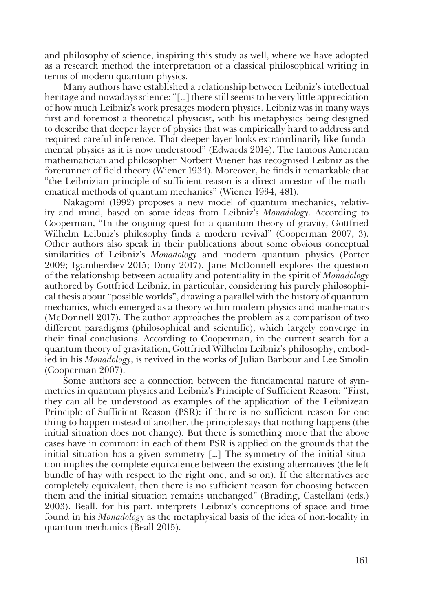and philosophy of science, inspiring this study as well, where we have adopted as a research method the interpretation of a classical philosophical writing in terms of modern quantum physics.

Many authors have established a relationship between Leibniz's intellectual heritage and nowadays science: "[…] there still seems to be very little appreciation of how much Leibniz's work presages modern physics. Leibniz was in many ways first and foremost a theoretical physicist, with his metaphysics being designed to describe that deeper layer of physics that was empirically hard to address and required careful inference. That deeper layer looks extraordinarily like fundamental physics as it is now understood" (Edwards 2014). The famous American mathematician and philosopher Norbert Wiener has recognised Leibniz as the forerunner of field theory (Wiener 1934). Moreover, he finds it remarkable that "the Leibnizian principle of sufficient reason is a direct ancestor of the mathematical methods of quantum mechanics" (Wiener 1934, 481).

Nakagomi (1992) proposes a new model of quantum mechanics, relativity and mind, based on some ideas from Leibniz's *Monadology*. According to Cooperman, "In the ongoing quest for a quantum theory of gravity, Gottfried Wilhelm Leibniz's philosophy finds a modern revival" (Cooperman 2007, 3). Other authors also speak in their publications about some obvious conceptual similarities of Leibniz's *Monadology* and modern quantum physics (Porter 2009; Igamberdiev 2015; Dony 2017). Jane McDonnell explores the question of the relationship between actuality and potentiality in the spirit of *Monadology* authored by Gottfried Leibniz, in particular, considering his purely philosophical thesis about "possible worlds", drawing a parallel with the history of quantum mechanics, which emerged as a theory within modern physics and mathematics (McDonnell 2017). The author approaches the problem as a comparison of two different paradigms (philosophical and scientific), which largely converge in their final conclusions. According to Cooperman, in the current search for a quantum theory of gravitation, Gottfried Wilhelm Leibniz's philosophy, embodied in his *Monadology*, is revived in the works of Julian Barbour and Lee Smolin (Cooperman 2007).

Some authors see a connection between the fundamental nature of symmetries in quantum physics and Leibniz's Principle of Sufficient Reason: "First, they can all be understood as examples of the application of the Leibnizean Principle of Sufficient Reason (PSR): if there is no sufficient reason for one thing to happen instead of another, the principle says that nothing happens (the initial situation does not change). But there is something more that the above cases have in common: in each of them PSR is applied on the grounds that the initial situation has a given symmetry […] The symmetry of the initial situation implies the complete equivalence between the existing alternatives (the left bundle of hay with respect to the right one, and so on). If the alternatives are completely equivalent, then there is no sufficient reason for choosing between them and the initial situation remains unchanged" (Brading, Castellani (eds.) 2003). Beall, for his part, interprets Leibniz's conceptions of space and time found in his *Monadology* as the metaphysical basis of the idea of non-locality in quantum mechanics (Beall 2015).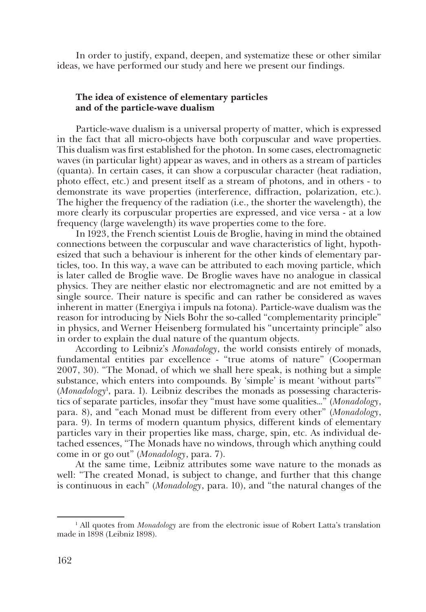In order to justify, expand, deepen, and systematize these or other similar ideas, we have performed our study and here we present our findings.

## **The idea of existence of elementary particles and of the particle-wave dualism**

Particle-wave dualism is a universal property of matter, which is expressed in the fact that all micro-objects have both corpuscular and wave properties. This dualism was first established for the photon. In some cases, electromagnetic waves (in particular light) appear as waves, and in others as a stream of particles (quanta). In certain cases, it can show a corpuscular character (heat radiation, photo effect, etc.) and present itself as a stream of photons, and in others - to demonstrate its wave properties (interference, diffraction, polarization, etc.). The higher the frequency of the radiation (i.e., the shorter the wavelength), the more clearly its corpuscular properties are expressed, and vice versa - at a low frequency (large wavelength) its wave properties come to the fore.

In 1923, the French scientist Louis de Broglie, having in mind the obtained connections between the corpuscular and wave characteristics of light, hypothesized that such a behaviour is inherent for the other kinds of elementary particles, too. In this way, a wave can be attributed to each moving particle, which is later called de Broglie wave. De Broglie waves have no analogue in classical physics. They are neither elastic nor electromagnetic and are not emitted by a single source. Their nature is specific and can rather be considered as waves inherent in matter (Energiya i impuls na fotona). Particle-wave dualism was the reason for introducing by Niels Bohr the so-called "complementarity principle" in physics, and Werner Heisenberg formulated his "uncertainty principle" also in order to explain the dual nature of the quantum objects.

According to Leibniz's *Monadology*, the world consists entirely of monads, fundamental entities par excellence - "true atoms of nature" (Cooperman 2007, 30). "The Monad, of which we shall here speak, is nothing but a simple substance, which enters into compounds. By 'simple' is meant 'without parts'" (*Monadology*<sup>1</sup> , para. 1). Leibniz describes the monads as possessing characteristics of separate particles, insofar they "must have some qualities…" (*Monadology*, para. 8), and "each Monad must be different from every other" (*Monadology*, para. 9). In terms of modern quantum physics, different kinds of elementary particles vary in their properties like mass, charge, spin, etc. As individual detached essences, "The Monads have no windows, through which anything could come in or go out" (*Monadology*, para. 7).

At the same time, Leibniz attributes some wave nature to the monads as well: "The created Monad, is subject to change, and further that this change is continuous in each" (*Monadology*, para. 10), and "the natural changes of the

<sup>1</sup> All quotes from *Monadology* are from the electronic issue of Robert Latta's translation made in 1898 (Leibniz 1898).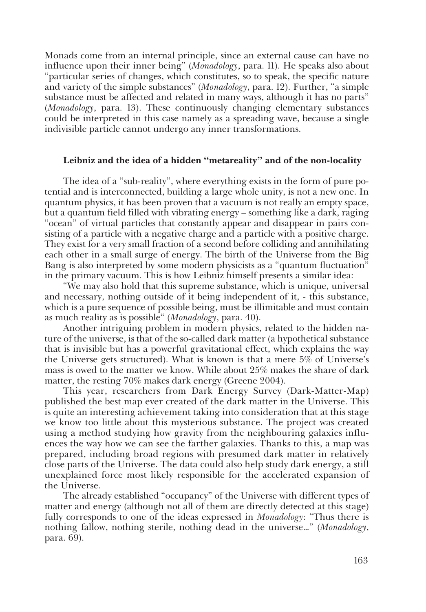Monads come from an internal principle, since an external cause can have no influence upon their inner being" (*Monadology*, para. 11). He speaks also about "particular series of changes, which constitutes, so to speak, the specific nature and variety of the simple substances" (*Monadology*, para. 12). Further, "a simple substance must be affected and related in many ways, although it has no parts" (*Monadology*, para. 13). These continuously changing elementary substances could be interpreted in this case namely as a spreading wave, because a single indivisible particle cannot undergo any inner transformations.

## **Leibniz and the idea of a hidden "metareality" and of the non-locality**

The idea of a "sub-reality", where everything exists in the form of pure potential and is interconnected, building a large whole unity, is not a new one. In quantum physics, it has been proven that a vacuum is not really an empty space, but a quantum field filled with vibrating energy – something like a dark, raging "ocean" of virtual particles that constantly appear and disappear in pairs consisting of a particle with a negative charge and a particle with a positive charge. They exist for a very small fraction of a second before colliding and annihilating each other in a small surge of energy. The birth of the Universe from the Big Bang is also interpreted by some modern physicists as a "quantum fluctuation" in the primary vacuum. This is how Leibniz himself presents a similar idea:

"We may also hold that this supreme substance, which is unique, universal and necessary, nothing outside of it being independent of it, - this substance, which is a pure sequence of possible being, must be illimitable and must contain as much reality as is possible" (*Monadology*, para. 40).

Another intriguing problem in modern physics, related to the hidden nature of the universe, is that of the so-called dark matter (a hypothetical substance that is invisible but has a powerful gravitational effect, which explains the way the Universe gets structured). What is known is that a mere 5% of Universe's mass is owed to the matter we know. While about 25% makes the share of dark matter, the resting 70% makes dark energy (Greene 2004).

This year, researchers from Dark Energy Survey (Dark-Matter-Map) published the best map ever created of the dark matter in the Universe. This is quite an interesting achievement taking into consideration that at this stage we know too little about this mysterious substance. The project was created using a method studying how gravity from the neighbouring galaxies influences the way how we can see the farther galaxies. Thanks to this, a map was prepared, including broad regions with presumed dark matter in relatively close parts of the Universe. The data could also help study dark energy, a still unexplained force most likely responsible for the accelerated expansion of the Universe.

The already established "occupancy" of the Universe with different types of matter and energy (although not all of them are directly detected at this stage) fully corresponds to one of the ideas expressed in *Monadology*: "Thus there is nothing fallow, nothing sterile, nothing dead in the universe…" (*Monadology*, para. 69).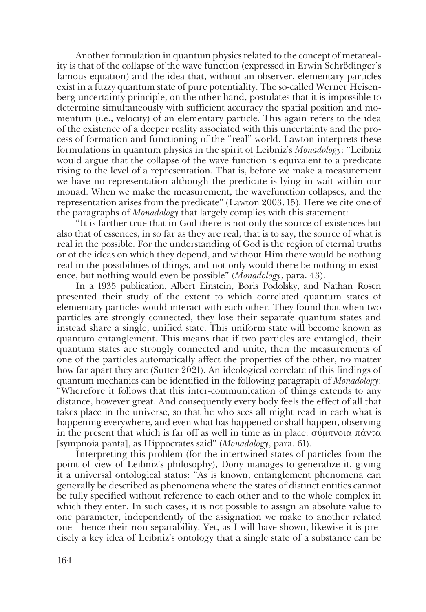Another formulation in quantum physics related to the concept of metareality is that of the collapse of the wave function (expressed in Erwin Schrödinger's famous equation) and the idea that, without an observer, elementary particles exist in a fuzzy quantum state of pure potentiality. The so-called Werner Heisenberg uncertainty principle, on the other hand, postulates that it is impossible to determine simultaneously with sufficient accuracy the spatial position and momentum (i.e., velocity) of an elementary particle. This again refers to the idea of the existence of a deeper reality associated with this uncertainty and the process of formation and functioning of the "real" world. Lawton interprets these formulations in quantum physics in the spirit of Leibniz's *Monadology*: "Leibniz would argue that the collapse of the wave function is equivalent to a predicate rising to the level of a representation. That is, before we make a measurement we have no representation although the predicate is lying in wait within our monad. When we make the measurement, the wavefunction collapses, and the representation arises from the predicate" (Lawton 2003, 15). Here we cite one of the paragraphs of *Monadology* that largely complies with this statement:

"It is farther true that in God there is not only the source of existences but also that of essences, in so far as they are real, that is to say, the source of what is real in the possible. For the understanding of God is the region of eternal truths or of the ideas on which they depend, and without Him there would be nothing real in the possibilities of things, and not only would there be nothing in existence, but nothing would even be possible" (*Monadology*, para. 43).

In a 1935 publication, Albert Einstein, Boris Podolsky, and Nathan Rosen presented their study of the extent to which correlated quantum states of elementary particles would interact with each other. They found that when two particles are strongly connected, they lose their separate quantum states and instead share a single, unified state. This uniform state will become known as quantum entanglement. This means that if two particles are entangled, their quantum states are strongly connected and unite, then the measurements of one of the particles automatically affect the properties of the other, no matter how far apart they are (Sutter 2021). An ideological correlate of this findings of quantum mechanics can be identified in the following paragraph of *Monadology*: "Wherefore it follows that this inter-communication of things extends to any distance, however great. And consequently every body feels the effect of all that takes place in the universe, so that he who sees all might read in each what is happening everywhere, and even what has happened or shall happen, observing in the present that which is far off as well in time as in place: σύμπνοια πάντα [sympnoia panta], as Hippocrates said" (*Monadology*, para. 61).

Interpreting this problem (for the intertwined states of particles from the point of view of Leibniz's philosophy), Dony manages to generalize it, giving it a universal ontological status: "As is known, entanglement phenomena can generally be described as phenomena where the states of distinct entities cannot be fully specified without reference to each other and to the whole complex in which they enter. In such cases, it is not possible to assign an absolute value to one parameter, independently of the assignation we make to another related one - hence their non-separability. Yet, as I will have shown, likewise it is precisely a key idea of Leibniz's ontology that a single state of a substance can be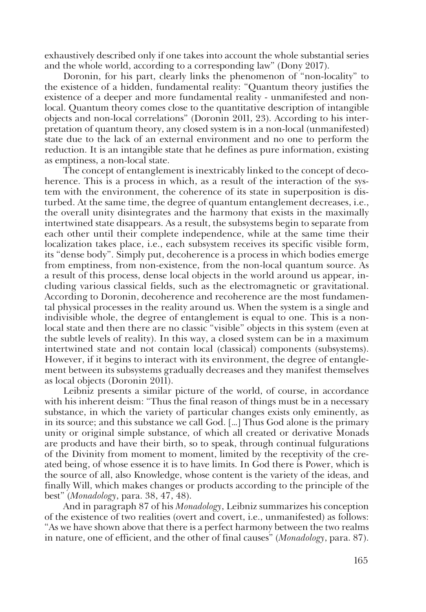exhaustively described only if one takes into account the whole substantial series and the whole world, according to a corresponding law" (Dony 2017).

Doronin, for his part, clearly links the phenomenon of "non-locality" to the existence of a hidden, fundamental reality: "Quantum theory justifies the existence of a deeper and more fundamental reality - unmanifested and nonlocal. Quantum theory comes close to the quantitative description of intangible objects and non-local correlations" (Doronin 2011, 23). According to his interpretation of quantum theory, any closed system is in a non-local (unmanifested) state due to the lack of an external environment and no one to perform the reduction. It is an intangible state that he defines as pure information, existing as emptiness, a non-local state.

The concept of entanglement is inextricably linked to the concept of decoherence. This is a process in which, as a result of the interaction of the system with the environment, the coherence of its state in superposition is disturbed. At the same time, the degree of quantum entanglement decreases, i.e., the overall unity disintegrates and the harmony that exists in the maximally intertwined state disappears. As a result, the subsystems begin to separate from each other until their complete independence, while at the same time their localization takes place, i.e., each subsystem receives its specific visible form, its "dense body". Simply put, decoherence is a process in which bodies emerge from emptiness, from non-existence, from the non-local quantum source. As a result of this process, dense local objects in the world around us appear, including various classical fields, such as the electromagnetic or gravitational. According to Doronin, decoherence and recoherence are the most fundamental physical processes in the reality around us. When the system is a single and indivisible whole, the degree of entanglement is equal to one. This is a nonlocal state and then there are no classic "visible" objects in this system (even at the subtle levels of reality). In this way, a closed system can be in a maximum intertwined state and not contain local (classical) components (subsystems). However, if it begins to interact with its environment, the degree of entanglement between its subsystems gradually decreases and they manifest themselves as local objects (Doronin 2011).

Leibniz presents a similar picture of the world, of course, in accordance with his inherent deism: "Thus the final reason of things must be in a necessary substance, in which the variety of particular changes exists only eminently, as in its source; and this substance we call God. […] Thus God alone is the primary unity or original simple substance, of which all created or derivative Monads are products and have their birth, so to speak, through continual fulgurations of the Divinity from moment to moment, limited by the receptivity of the created being, of whose essence it is to have limits. In God there is Power, which is the source of all, also Knowledge, whose content is the variety of the ideas, and finally Will, which makes changes or products according to the principle of the best" (*Monadology*, para. 38, 47, 48).

And in paragraph 87 of his *Monadology*, Leibniz summarizes his conception of the existence of two realities (overt and covert, i.e., unmanifested) as follows: "As we have shown above that there is a perfect harmony between the two realms in nature, one of efficient, and the other of final causes" (*Monadology*, para. 87).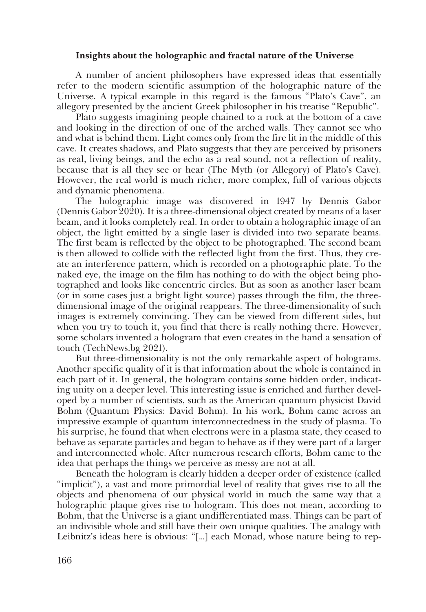#### **Insights about the holographic and fractal nature of the Universe**

A number of ancient philosophers have expressed ideas that essentially refer to the modern scientific assumption of the holographic nature of the Universe. A typical example in this regard is the famous "Plato's Cave", an allegory presented by the ancient Greek philosopher in his treatise "Republic".

Plato suggests imagining people chained to a rock at the bottom of a cave and looking in the direction of one of the arched walls. They cannot see who and what is behind them. Light comes only from the fire lit in the middle of this cave. It creates shadows, and Plato suggests that they are perceived by prisoners as real, living beings, and the echo as a real sound, not a reflection of reality, because that is all they see or hear (The Myth (or Allegory) of Plato's Cave). However, the real world is much richer, more complex, full of various objects and dynamic phenomena.

The holographic image was discovered in 1947 by Dennis Gabor (Dennis Gabor 2020). It is a three-dimensional object created by means of a laser beam, and it looks completely real. In order to obtain a holographic image of an object, the light emitted by a single laser is divided into two separate beams. The first beam is reflected by the object to be photographed. The second beam is then allowed to collide with the reflected light from the first. Thus, they create an interference pattern, which is recorded on a photographic plate. To the naked eye, the image on the film has nothing to do with the object being photographed and looks like concentric circles. But as soon as another laser beam (or in some cases just a bright light source) passes through the film, the threedimensional image of the original reappears. The three-dimensionality of such images is extremely convincing. They can be viewed from different sides, but when you try to touch it, you find that there is really nothing there. However, some scholars invented a hologram that even creates in the hand a sensation of touch (TechNews.bg 2021).

But three-dimensionality is not the only remarkable aspect of holograms. Another specific quality of it is that information about the whole is contained in each part of it. In general, the hologram contains some hidden order, indicating unity on a deeper level. This interesting issue is enriched and further developed by a number of scientists, such as the American quantum physicist David Bohm (Quantum Physics: David Bohm). In his work, Bohm came across an impressive example of quantum interconnectedness in the study of plasma. To his surprise, he found that when electrons were in a plasma state, they ceased to behave as separate particles and began to behave as if they were part of a larger and interconnected whole. After numerous research efforts, Bohm came to the idea that perhaps the things we perceive as messy are not at all.

Beneath the hologram is clearly hidden a deeper order of existence (called "implicit"), a vast and more primordial level of reality that gives rise to all the objects and phenomena of our physical world in much the same way that a holographic plaque gives rise to hologram. This does not mean, according to Bohm, that the Universe is a giant undifferentiated mass. Things can be part of an indivisible whole and still have their own unique qualities. The analogy with Leibnitz's ideas here is obvious: "[…] each Monad, whose nature being to rep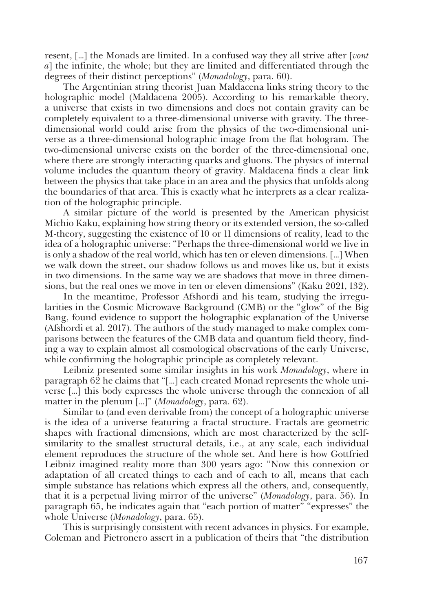resent, […] the Monads are limited. In a confused way they all strive after [*vont a*] the infinite, the whole; but they are limited and differentiated through the degrees of their distinct perceptions" (*Monadology*, para. 60).

The Argentinian string theorist Juan Maldacena links string theory to the holographic model (Maldacena 2005). According to his remarkable theory, a universe that exists in two dimensions and does not contain gravity can be completely equivalent to a three-dimensional universe with gravity. The threedimensional world could arise from the physics of the two-dimensional universe as a three-dimensional holographic image from the flat hologram. The two-dimensional universe exists on the border of the three-dimensional one, where there are strongly interacting quarks and gluons. The physics of internal volume includes the quantum theory of gravity. Maldacena finds a clear link between the physics that take place in an area and the physics that unfolds along the boundaries of that area. This is exactly what he interprets as a clear realization of the holographic principle.

A similar picture of the world is presented by the American physicist Michio Kaku, explaining how string theory or its extended version, the so-called M-theory, suggesting the existence of 10 or 11 dimensions of reality, lead to the idea of a holographic universe: "Perhaps the three-dimensional world we live in is only a shadow of the real world, which has ten or eleven dimensions. […] When we walk down the street, our shadow follows us and moves like us, but it exists in two dimensions. In the same way we are shadows that move in three dimensions, but the real ones we move in ten or eleven dimensions" (Kaku 2021, 132).

In the meantime, Professor Afshordi and his team, studying the irregularities in the Cosmic Microwave Background (CMB) or the "glow" of the Big Bang, found evidence to support the holographic explanation of the Universe (Afshordi et al. 2017). The authors of the study managed to make complex comparisons between the features of the CMB data and quantum field theory, finding a way to explain almost all cosmological observations of the early Universe, while confirming the holographic principle as completely relevant.

Leibniz presented some similar insights in his work *Monadology*, where in paragraph 62 he claims that "[…] each created Monad represents the whole universe […] this body expresses the whole universe through the connexion of all matter in the plenum […]" (*Monadology*, para. 62).

Similar to (and even derivable from) the concept of a holographic universe is the idea of a universe featuring a fractal structure. Fractals are geometric shapes with fractional dimensions, which are most characterized by the selfsimilarity to the smallest structural details, i.e., at any scale, each individual element reproduces the structure of the whole set. And here is how Gottfried Leibniz imagined reality more than 300 years ago: "Now this connexion or adaptation of all created things to each and of each to all, means that each simple substance has relations which express all the others, and, consequently, that it is a perpetual living mirror of the universe" (*Monadology*, para. 56). In paragraph 65, he indicates again that "each portion of matter" "expresses" the whole Universe (*Monadology*, para. 65).

This is surprisingly consistent with recent advances in physics. For example, Coleman and Pietronero assert in a publication of theirs that "the distribution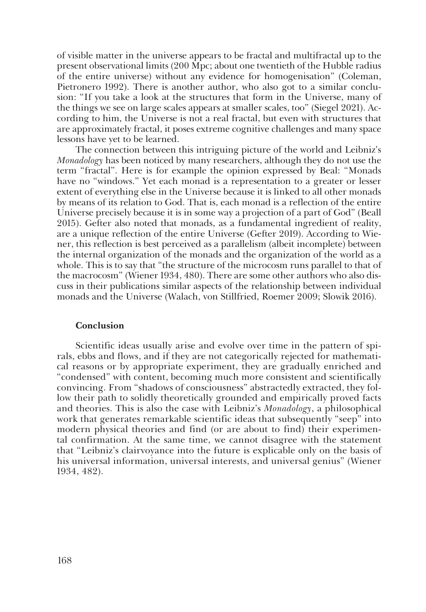of visible matter in the universe appears to be fractal and multifractal up to the present observational limits (200 Mpc; about one twentieth of the Hubble radius of the entire universe) without any evidence for homogenisation" (Coleman, Pietronero 1992). There is another author, who also got to a similar conclusion: "If you take a look at the structures that form in the Universe, many of the things we see on large scales appears at smaller scales, too" (Siegel 2021). According to him, the Universe is not a real fractal, but even with structures that are approximately fractal, it poses extreme cognitive challenges and many space lessons have yet to be learned.

The connection between this intriguing picture of the world and Leibniz's *Monadology* has been noticed by many researchers, although they do not use the term "fractal". Here is for example the opinion expressed by Beal: "Monads have no "windows." Yet each monad is a representation to a greater or lesser extent of everything else in the Universe because it is linked to all other monads by means of its relation to God. That is, each monad is a reflection of the entire Universe precisely because it is in some way a projection of a part of God" (Beall 2015). Gefter also noted that monads, as a fundamental ingredient of reality, are a unique reflection of the entire Universe (Gefter 2019). According to Wiener, this reflection is best perceived as a parallelism (albeit incomplete) between the internal organization of the monads and the organization of the world as a whole. This is to say that "the structure of the microcosm runs parallel to that of the macrocosm" (Wiener 1934, 480). There are some other authors who also discuss in their publications similar aspects of the relationship between individual monads and the Universe (Walach, von Stillfried, Roemer 2009; Slowik 2016).

#### **Conclusion**

Scientific ideas usually arise and evolve over time in the pattern of spirals, ebbs and flows, and if they are not categorically rejected for mathematical reasons or by appropriate experiment, they are gradually enriched and "condensed" with content, becoming much more consistent and scientifically convincing. From "shadows of consciousness" abstractedly extracted, they follow their path to solidly theoretically grounded and empirically proved facts and theories. This is also the case with Leibniz's *Monadology*, a philosophical work that generates remarkable scientific ideas that subsequently "seep" into modern physical theories and find (or are about to find) their experimental confirmation. At the same time, we cannot disagree with the statement that "Leibniz's clairvoyance into the future is explicable only on the basis of his universal information, universal interests, and universal genius" (Wiener 1934, 482).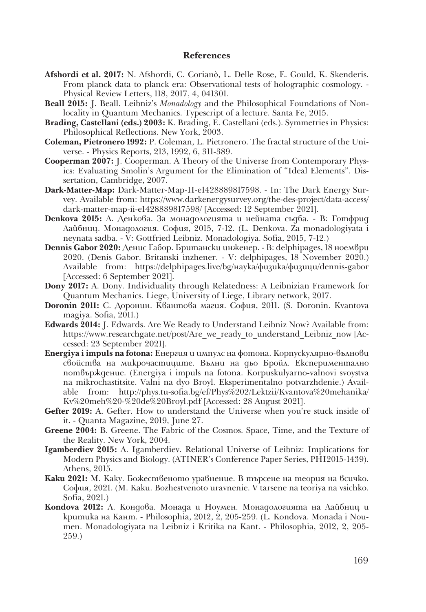#### **References**

- **Afshordi et al. 2017:** N. Afshordi, C. Corianò, L. Delle Rose, E. Gould, K. Skenderis. From planck data to planck era: Observational tests of holographic cosmology. - Physical Review Letters, 118, 2017, 4, 041301.
- **Beall 2015:** J. Beall. Leibniz's *Monadology* and the Philosophical Foundations of Nonlocality in Quantum Mechanics. Typescript of a lecture. Santa Fe, 2015.
- **Brading, Castellani (eds.) 2003:** K. Brading, E. Castellani (eds.). Symmetries in Physics: Philosophical Reflections. New York, 2003.
- **Coleman, Pietronero 1992:** P. Coleman, L. Pietronero. The fractal structure of the Universe. - Physics Reports, 213, 1992, 6, 311-389.
- **Cooperman 2007:** J. Cooperman. A Theory of the Universe from Contemporary Physics: Evaluating Smolin's Argument for the Elimination of "Ideal Elements". Dissertation, Cambridge, 2007.
- **Dark-Matter-Map:** Dark-Matter-Map-II-e1428889817598. In: The Dark Energy Survey. Available from: https://www.darkenergysurvey.org/the-des-project/data-access/ dark-matter-map-ii-e1428889817598/ [Accessed: 12 September 2021].
- **Denkova 2015:** Л. Денкова. За монадологията и нейната съдба. В: Готфрид Лайбниц. Монадология. София, 2015, 7-12. (L. Denkova. Za monadologiyata i neynata sadba. - V: Gottfried Leibniz. Monadologiya. Sofia, 2015, 7-12.)
- **Dennis Gabor 2020:** Денис Габор. Британски инженер. В: delphipages, 18 ноември 2020. (Denis Gabor. Britanski inzhener. - V: delphipages, 18 November 2020.) Available from: https://delphipages.live/bg/наука/физика/физици/dennis-gabor [Accessed: 6 September 2021].
- **Dony 2017:** A. Dony. Individuality through Relatedness: A Leibnizian Framework for Quantum Mechanics. Liege, University of Liege, Library network, 2017.
- **Doronin 2011:** С. Доронин. Квантова магия. София, 2011. (S. Doronin. Kvantova magiya. Sofia, 2011.)
- **Edwards 2014:** J. Edwards. Are We Ready to Understand Leibniz Now? Available from: https://www.researchgate.net/post/Are we ready to understand Leibniz now [Accessed: 23 September 2021].
- **Energiya i impuls na fotona:** Енергия и импулс на фотона. Корпускулярно-вълнови свойства на микрочастиците. Вълни на дьо Бройл. Експериментално потвърждение. (Energiya i impuls na fotona. Korpuskulyarno-valnovi svoystva na mikrochastitsite. Valni na dyo Broyl. Eksperimentalno potvarzhdenie.) Available from: http://phys.tu-sofia.bg/ef/Phys%202/Lektzii/Kvantova%20mehanika/ Kv%20meh%20-%20de%20Broyl.pdf [Accessed: 28 August 2021].
- Gefter 2019: A. Gefter. How to understand the Universe when you're stuck inside of it. - Quanta Magazine, 2019, June 27.
- **Greene 2004:** B. Greene. The Fabric of the Cosmos. Space, Time, and the Texture of the Reality. New York, 2004.
- **Igamberdiev 2015:** A. Igamberdiev. Relational Universe of Leibniz: Implications for Modern Physics and Biology. (ATINER's Conference Paper Series, PHI2015-1439). Athens, 2015.
- **Kaku 2021:** М. Каку. Божественото уравнение. В търсене на теория на всичко. София, 2021. (M. Kaku. Bozhestvenoto uravnenie. V tarsene na teoriya na vsichko. Sofia, 2021.)
- **Kondova 2012:** Л. Кондова. Монада и Ноумен. Монадологията на Лайбниц и критика на Кант. - Philosophia, 2012, 2, 205-259. (L. Kondova. Monada i Noumen. Monadologiyata na Leibniz i Kritika na Kant. - Philosophia, 2012, 2, 205- 259.)